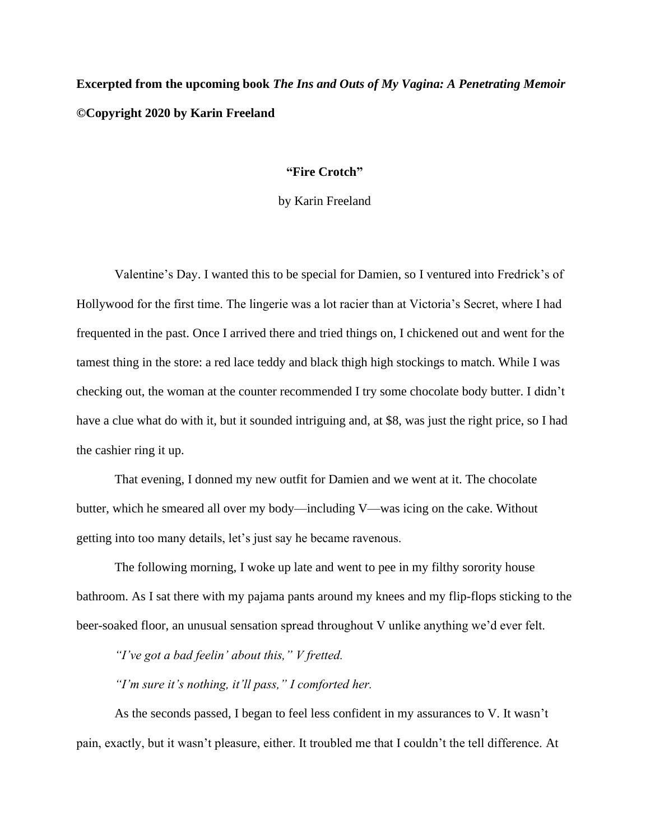## **Excerpted from the upcoming book** *The Ins and Outs of My Vagina: A Penetrating Memoir ©***Copyright 2020 by Karin Freeland**

## **"Fire Crotch"**

by Karin Freeland

Valentine's Day. I wanted this to be special for Damien, so I ventured into Fredrick's of Hollywood for the first time. The lingerie was a lot racier than at Victoria's Secret, where I had frequented in the past. Once I arrived there and tried things on, I chickened out and went for the tamest thing in the store: a red lace teddy and black thigh high stockings to match. While I was checking out, the woman at the counter recommended I try some chocolate body butter. I didn't have a clue what do with it, but it sounded intriguing and, at \$8, was just the right price, so I had the cashier ring it up.

That evening, I donned my new outfit for Damien and we went at it. The chocolate butter, which he smeared all over my body—including V—was icing on the cake. Without getting into too many details, let's just say he became ravenous.

The following morning, I woke up late and went to pee in my filthy sorority house bathroom. As I sat there with my pajama pants around my knees and my flip-flops sticking to the beer-soaked floor, an unusual sensation spread throughout V unlike anything we'd ever felt.

*"I've got a bad feelin' about this," V fretted.*

*"I'm sure it's nothing, it'll pass," I comforted her.*

As the seconds passed, I began to feel less confident in my assurances to V. It wasn't pain, exactly, but it wasn't pleasure, either. It troubled me that I couldn't the tell difference. At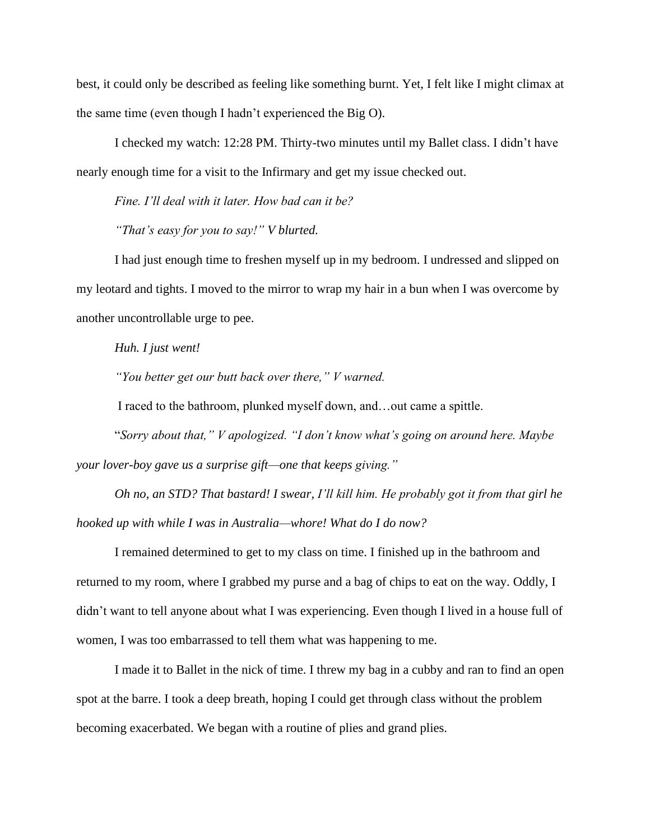best, it could only be described as feeling like something burnt. Yet, I felt like I might climax at the same time (even though I hadn't experienced the Big O).

I checked my watch: 12:28 PM. Thirty-two minutes until my Ballet class. I didn't have nearly enough time for a visit to the Infirmary and get my issue checked out.

*Fine. I'll deal with it later. How bad can it be?*

*"That's easy for you to say!" V blurted.*

I had just enough time to freshen myself up in my bedroom. I undressed and slipped on my leotard and tights. I moved to the mirror to wrap my hair in a bun when I was overcome by another uncontrollable urge to pee.

*Huh. I just went!* 

*"You better get our butt back over there," V warned.* 

I raced to the bathroom, plunked myself down, and…out came a spittle.

"*Sorry about that," V apologized. "I don't know what's going on around here. Maybe your lover-boy gave us a surprise gift—one that keeps giving."*

*Oh no, an STD? That bastard! I swear, I'll kill him. He probably got it from that girl he hooked up with while I was in Australia—whore! What do I do now?*

I remained determined to get to my class on time. I finished up in the bathroom and returned to my room, where I grabbed my purse and a bag of chips to eat on the way. Oddly, I didn't want to tell anyone about what I was experiencing. Even though I lived in a house full of women, I was too embarrassed to tell them what was happening to me.

I made it to Ballet in the nick of time. I threw my bag in a cubby and ran to find an open spot at the barre. I took a deep breath, hoping I could get through class without the problem becoming exacerbated. We began with a routine of plies and grand plies.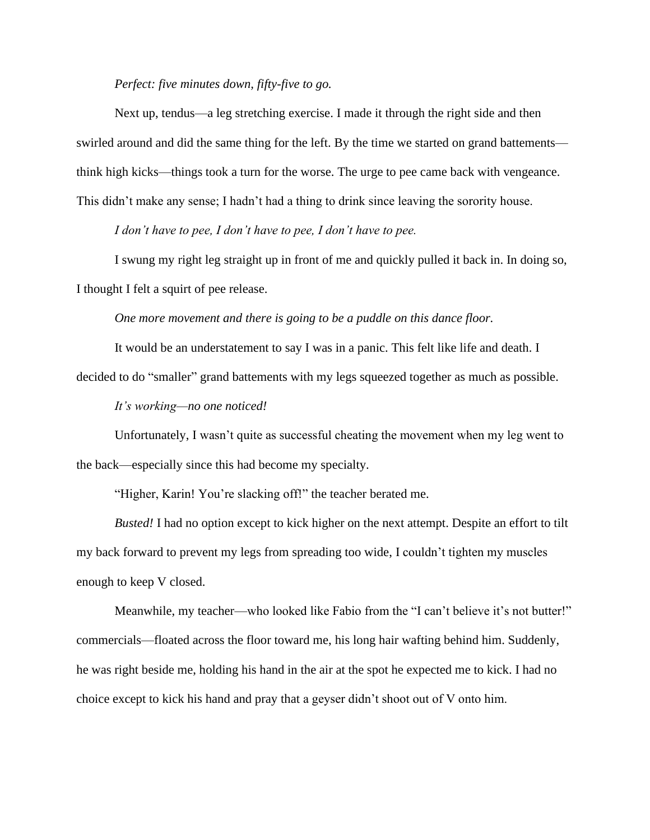## *Perfect: five minutes down, fifty-five to go.*

Next up, tendus—a leg stretching exercise. I made it through the right side and then swirled around and did the same thing for the left. By the time we started on grand battements think high kicks—things took a turn for the worse. The urge to pee came back with vengeance. This didn't make any sense; I hadn't had a thing to drink since leaving the sorority house.

*I don't have to pee, I don't have to pee, I don't have to pee.*

I swung my right leg straight up in front of me and quickly pulled it back in. In doing so, I thought I felt a squirt of pee release.

*One more movement and there is going to be a puddle on this dance floor.* 

It would be an understatement to say I was in a panic. This felt like life and death. I

decided to do "smaller" grand battements with my legs squeezed together as much as possible.

*It's working—no one noticed!* 

Unfortunately, I wasn't quite as successful cheating the movement when my leg went to the back—especially since this had become my specialty.

"Higher, Karin! You're slacking off!" the teacher berated me.

*Busted!* I had no option except to kick higher on the next attempt. Despite an effort to tilt my back forward to prevent my legs from spreading too wide, I couldn't tighten my muscles enough to keep V closed.

Meanwhile, my teacher—who looked like Fabio from the "I can't believe it's not butter!" commercials—floated across the floor toward me, his long hair wafting behind him. Suddenly, he was right beside me, holding his hand in the air at the spot he expected me to kick. I had no choice except to kick his hand and pray that a geyser didn't shoot out of V onto him.